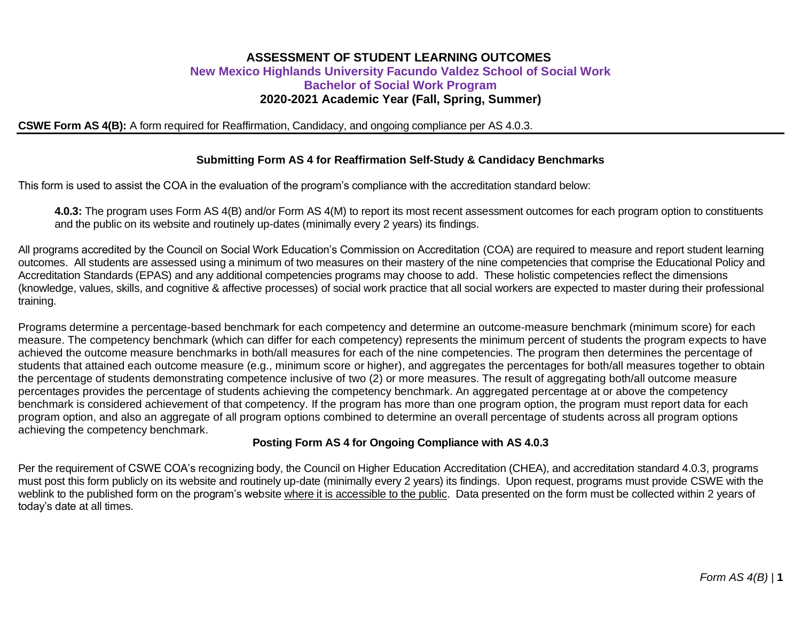## **ASSESSMENT OF STUDENT LEARNING OUTCOMES New Mexico Highlands University Facundo Valdez School of Social Work Bachelor of Social Work Program 2020-2021 Academic Year (Fall, Spring, Summer)**

**CSWE Form AS 4(B):** A form required for Reaffirmation, Candidacy, and ongoing compliance per AS 4.0.3.

#### **Submitting Form AS 4 for Reaffirmation Self-Study & Candidacy Benchmarks**

This form is used to assist the COA in the evaluation of the program's compliance with the accreditation standard below:

**4.0.3:** The program uses Form AS 4(B) and/or Form AS 4(M) to report its most recent assessment outcomes for each program option to constituents and the public on its website and routinely up-dates (minimally every 2 years) its findings.

All programs accredited by the Council on Social Work Education's Commission on Accreditation (COA) are required to measure and report student learning outcomes. All students are assessed using a minimum of two measures on their mastery of the nine competencies that comprise the Educational Policy and Accreditation Standards (EPAS) and any additional competencies programs may choose to add. These holistic competencies reflect the dimensions (knowledge, values, skills, and cognitive & affective processes) of social work practice that all social workers are expected to master during their professional training.

Programs determine a percentage-based benchmark for each competency and determine an outcome-measure benchmark (minimum score) for each measure. The competency benchmark (which can differ for each competency) represents the minimum percent of students the program expects to have achieved the outcome measure benchmarks in both/all measures for each of the nine competencies. The program then determines the percentage of students that attained each outcome measure (e.g., minimum score or higher), and aggregates the percentages for both/all measures together to obtain the percentage of students demonstrating competence inclusive of two (2) or more measures. The result of aggregating both/all outcome measure percentages provides the percentage of students achieving the competency benchmark. An aggregated percentage at or above the competency benchmark is considered achievement of that competency. If the program has more than one program option, the program must report data for each program option, and also an aggregate of all program options combined to determine an overall percentage of students across all program options achieving the competency benchmark.

#### **Posting Form AS 4 for Ongoing Compliance with AS 4.0.3**

Per the requirement of CSWE COA's recognizing body, the Council on Higher Education Accreditation (CHEA), and accreditation standard 4.0.3, programs must post this form publicly on its website and routinely up-date (minimally every 2 years) its findings. Upon request, programs must provide CSWE with the weblink to the published form on the program's website where it is accessible to the public. Data presented on the form must be collected within 2 years of today's date at all times.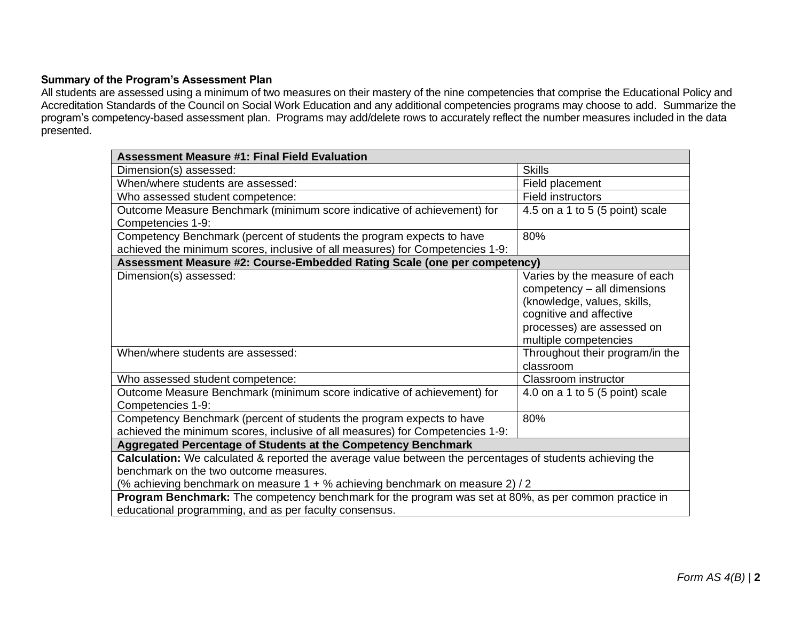## **Summary of the Program's Assessment Plan**

All students are assessed using a minimum of two measures on their mastery of the nine competencies that comprise the Educational Policy and Accreditation Standards of the Council on Social Work Education and any additional competencies programs may choose to add. Summarize the program's competency-based assessment plan. Programs may add/delete rows to accurately reflect the number measures included in the data presented.

| <b>Assessment Measure #1: Final Field Evaluation</b>                                                                                                                                                                                        |                                                                                                                                                                               |  |  |
|---------------------------------------------------------------------------------------------------------------------------------------------------------------------------------------------------------------------------------------------|-------------------------------------------------------------------------------------------------------------------------------------------------------------------------------|--|--|
| Dimension(s) assessed:                                                                                                                                                                                                                      | <b>Skills</b>                                                                                                                                                                 |  |  |
| When/where students are assessed:                                                                                                                                                                                                           | Field placement                                                                                                                                                               |  |  |
| Who assessed student competence:                                                                                                                                                                                                            | <b>Field instructors</b>                                                                                                                                                      |  |  |
| Outcome Measure Benchmark (minimum score indicative of achievement) for<br>Competencies 1-9:                                                                                                                                                | 4.5 on a 1 to 5 (5 point) scale                                                                                                                                               |  |  |
| Competency Benchmark (percent of students the program expects to have                                                                                                                                                                       | 80%                                                                                                                                                                           |  |  |
| achieved the minimum scores, inclusive of all measures) for Competencies 1-9:                                                                                                                                                               |                                                                                                                                                                               |  |  |
| Assessment Measure #2: Course-Embedded Rating Scale (one per competency)                                                                                                                                                                    |                                                                                                                                                                               |  |  |
| Dimension(s) assessed:                                                                                                                                                                                                                      | Varies by the measure of each<br>competency - all dimensions<br>(knowledge, values, skills,<br>cognitive and affective<br>processes) are assessed on<br>multiple competencies |  |  |
| When/where students are assessed:                                                                                                                                                                                                           | Throughout their program/in the<br>classroom                                                                                                                                  |  |  |
| Who assessed student competence:                                                                                                                                                                                                            | Classroom instructor                                                                                                                                                          |  |  |
| Outcome Measure Benchmark (minimum score indicative of achievement) for<br>Competencies 1-9:                                                                                                                                                | 4.0 on a 1 to 5 (5 point) scale                                                                                                                                               |  |  |
| Competency Benchmark (percent of students the program expects to have<br>achieved the minimum scores, inclusive of all measures) for Competencies 1-9:                                                                                      | 80%                                                                                                                                                                           |  |  |
| Aggregated Percentage of Students at the Competency Benchmark                                                                                                                                                                               |                                                                                                                                                                               |  |  |
| <b>Calculation:</b> We calculated & reported the average value between the percentages of students achieving the<br>benchmark on the two outcome measures.<br>(% achieving benchmark on measure 1 + % achieving benchmark on measure 2) / 2 |                                                                                                                                                                               |  |  |
| Program Benchmark: The competency benchmark for the program was set at 80%, as per common practice in<br>educational programming, and as per faculty consensus.                                                                             |                                                                                                                                                                               |  |  |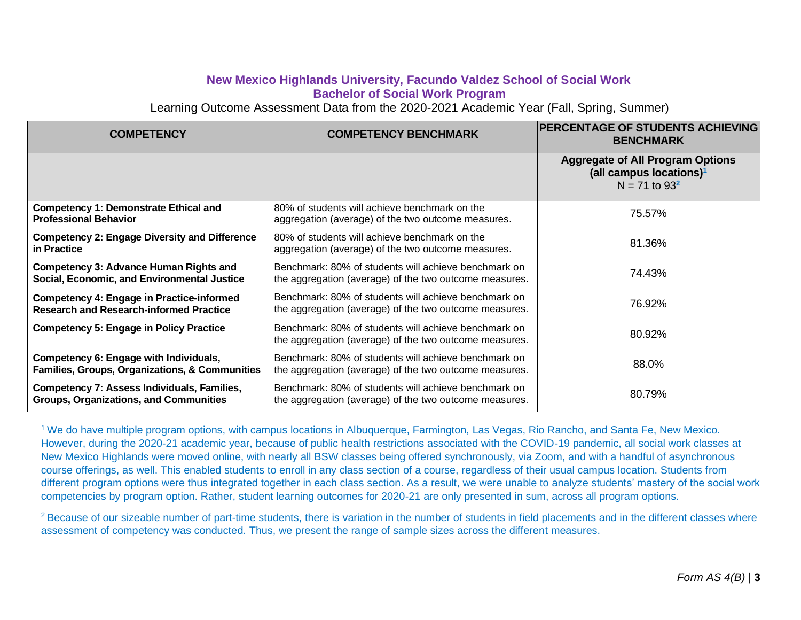# **New Mexico Highlands University, Facundo Valdez School of Social Work Bachelor of Social Work Program**

Learning Outcome Assessment Data from the 2020-2021 Academic Year (Fall, Spring, Summer)

| <b>COMPETENCY</b>                                                                                  | <b>COMPETENCY BENCHMARK</b>                                                                                    | <b>PERCENTAGE OF STUDENTS ACHIEVING</b><br><b>BENCHMARK</b>                                          |
|----------------------------------------------------------------------------------------------------|----------------------------------------------------------------------------------------------------------------|------------------------------------------------------------------------------------------------------|
|                                                                                                    |                                                                                                                | <b>Aggregate of All Program Options</b><br>(all campus locations) <sup>1</sup><br>$N = 71$ to $93^2$ |
| <b>Competency 1: Demonstrate Ethical and</b><br><b>Professional Behavior</b>                       | 80% of students will achieve benchmark on the<br>aggregation (average) of the two outcome measures.            | 75.57%                                                                                               |
| <b>Competency 2: Engage Diversity and Difference</b><br>in Practice                                | 80% of students will achieve benchmark on the<br>aggregation (average) of the two outcome measures.            | 81.36%                                                                                               |
| <b>Competency 3: Advance Human Rights and</b><br>Social, Economic, and Environmental Justice       | Benchmark: 80% of students will achieve benchmark on<br>the aggregation (average) of the two outcome measures. | 74.43%                                                                                               |
| <b>Competency 4: Engage in Practice-informed</b><br><b>Research and Research-informed Practice</b> | Benchmark: 80% of students will achieve benchmark on<br>the aggregation (average) of the two outcome measures. | 76.92%                                                                                               |
| <b>Competency 5: Engage in Policy Practice</b>                                                     | Benchmark: 80% of students will achieve benchmark on<br>the aggregation (average) of the two outcome measures. | 80.92%                                                                                               |
| Competency 6: Engage with Individuals,<br>Families, Groups, Organizations, & Communities           | Benchmark: 80% of students will achieve benchmark on<br>the aggregation (average) of the two outcome measures. | 88.0%                                                                                                |
| Competency 7: Assess Individuals, Families,<br><b>Groups, Organizations, and Communities</b>       | Benchmark: 80% of students will achieve benchmark on<br>the aggregation (average) of the two outcome measures. | 80.79%                                                                                               |

<sup>1</sup> We do have multiple program options, with campus locations in Albuquerque, Farmington, Las Vegas, Rio Rancho, and Santa Fe, New Mexico. However, during the 2020-21 academic year, because of public health restrictions associated with the COVID-19 pandemic, all social work classes at New Mexico Highlands were moved online, with nearly all BSW classes being offered synchronously, via Zoom, and with a handful of asynchronous course offerings, as well. This enabled students to enroll in any class section of a course, regardless of their usual campus location. Students from different program options were thus integrated together in each class section. As a result, we were unable to analyze students' mastery of the social work competencies by program option. Rather, student learning outcomes for 2020-21 are only presented in sum, across all program options.

<sup>2</sup> Because of our sizeable number of part-time students, there is variation in the number of students in field placements and in the different classes where assessment of competency was conducted. Thus, we present the range of sample sizes across the different measures.